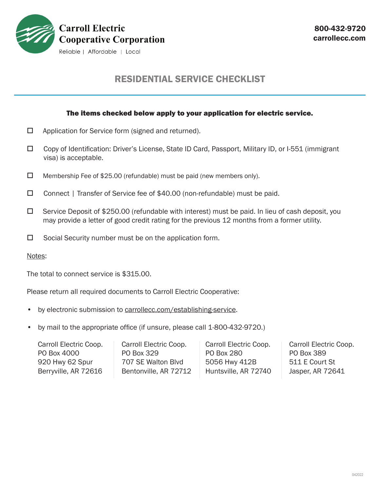

# RESIDENTIAL SERVICE CHECKLIST

## The items checked below apply to your application for electric service.

- $\Box$  Application for Service form (signed and returned).
- Copy of Identification: Driver's License, State ID Card, Passport, Military ID, or I-551 (immigrant visa) is acceptable.
- $\Box$  Membership Fee of \$25.00 (refundable) must be paid (new members only).
- □ Connect | Transfer of Service fee of \$40.00 (non-refundable) must be paid.
- $\Box$  Service Deposit of \$250.00 (refundable with interest) must be paid. In lieu of cash deposit, you may provide a letter of good credit rating for the previous 12 months from a former utility.
- $\square$  Social Security number must be on the application form.

Notes:

The total to connect service is \$315.00.

Please return all required documents to Carroll Electric Cooperative:

- by electronic submission to carrollecc.com/establishing-service.
- by mail to the appropriate office (if unsure, please call 1-800-432-9720.)

Carroll Electric Coop. PO Box 4000 920 Hwy 62 Spur Berryville, AR 72616

Carroll Electric Coop. PO Box 329 707 SE Walton Blvd Bentonville, AR 72712 Carroll Electric Coop. PO Box 280 5056 Hwy 412B Huntsville, AR 72740 Carroll Electric Coop. PO Box 389 511 E Court St Jasper, AR 72641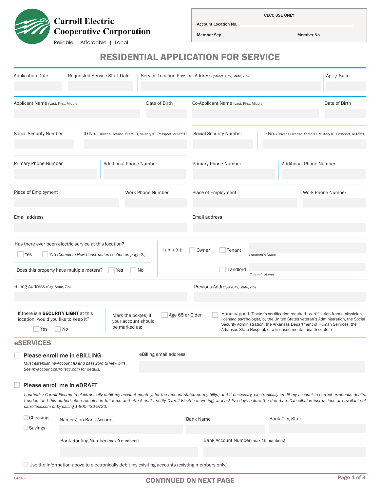

CECC USE ONLY

Member Sep. Member No.

Account Location No.

## RESIDENTIAL APPLICATION FOR SERVICE

| <b>Application Date</b>                                                                                                                                                                   | Requested Service Start Date                                                                                                         |                                |                        | Service Location Physical Address (Street, City, State, Zip)                                                                                                                                                                                                                                                   |                                  | Apt. / Suite                                                                                                                                                                                                                                                                                                                                                                                    |
|-------------------------------------------------------------------------------------------------------------------------------------------------------------------------------------------|--------------------------------------------------------------------------------------------------------------------------------------|--------------------------------|------------------------|----------------------------------------------------------------------------------------------------------------------------------------------------------------------------------------------------------------------------------------------------------------------------------------------------------------|----------------------------------|-------------------------------------------------------------------------------------------------------------------------------------------------------------------------------------------------------------------------------------------------------------------------------------------------------------------------------------------------------------------------------------------------|
| Date of Birth<br>Applicant Name (Last, First, Middle)                                                                                                                                     |                                                                                                                                      |                                |                        | Co-Applicant Name (Last, First, Middle)                                                                                                                                                                                                                                                                        |                                  | Date of Birth                                                                                                                                                                                                                                                                                                                                                                                   |
| <b>Social Security Number</b><br>ID No. (Driver's License, State ID, Military ID, Passport, or I-551)                                                                                     |                                                                                                                                      |                                |                        | <b>Social Security Number</b>                                                                                                                                                                                                                                                                                  |                                  | ID No. (Driver's License, State ID, Military ID, Passport, or I-551)                                                                                                                                                                                                                                                                                                                            |
| Primary Phone Number                                                                                                                                                                      |                                                                                                                                      | <b>Additional Phone Number</b> |                        | Primary Phone Number                                                                                                                                                                                                                                                                                           |                                  | <b>Additional Phone Number</b>                                                                                                                                                                                                                                                                                                                                                                  |
| Place of Employment                                                                                                                                                                       |                                                                                                                                      |                                | Work Phone Number      | Place of Employment                                                                                                                                                                                                                                                                                            |                                  | Work Phone Number                                                                                                                                                                                                                                                                                                                                                                               |
| Email address                                                                                                                                                                             |                                                                                                                                      |                                |                        | Email address                                                                                                                                                                                                                                                                                                  |                                  |                                                                                                                                                                                                                                                                                                                                                                                                 |
| Has there ever been electric service at this location?<br>Yes<br>Does this property have multiple meters?                                                                                 | No (Complete New Construction section on page 2.)                                                                                    | Yes                            | $l$ am $a(n)$ :<br>No  | Owner<br>Tenant<br>Landlord                                                                                                                                                                                                                                                                                    | Landlord's Name<br>Tenant's Name |                                                                                                                                                                                                                                                                                                                                                                                                 |
| Billing Address (City, State, Zip)                                                                                                                                                        |                                                                                                                                      |                                |                        | Previous Address (City, State, Zip)                                                                                                                                                                                                                                                                            |                                  |                                                                                                                                                                                                                                                                                                                                                                                                 |
| If there is a <b>SECURITY LIGHT</b> at this<br>Age 65 or Older<br>Mark the box(es) if<br>location, would you like to keep it?<br>your account should<br>be marked as:<br><b>No</b><br>Yes |                                                                                                                                      |                                |                        | Handicapped (Doctor's certification required - certification from a physician,<br>licensed psychologist, by the United States Veteran's Administration, the Social<br>Security Administration, the Arkansas Department of Human Services, the<br>Arkansas State Hospital, or a licensed mental health center.) |                                  |                                                                                                                                                                                                                                                                                                                                                                                                 |
| <b>eSERVICES</b>                                                                                                                                                                          | Please enroll me in eBILLING<br>Must establish myAccount ID and password to view bills.<br>See myaccount.carrollecc.com for details. |                                | eBilling email address |                                                                                                                                                                                                                                                                                                                |                                  |                                                                                                                                                                                                                                                                                                                                                                                                 |
|                                                                                                                                                                                           | Please enroll me in eDRAFT<br>carrollecc.com or by calling 1-800-432-9720.                                                           |                                |                        |                                                                                                                                                                                                                                                                                                                |                                  | I authorize Carroll Electric to electronically debit my account monthly, for the amount stated on my bill(s) and if necessary, electronically credit my account to correct erroneous debits.<br>I understand this authorization remains in full force and effect until I notify Carroll Electric in writing, at least five days before the due date. Cancellation instructions are available at |
| $\Box$ Checking<br>$\Box$ Savings                                                                                                                                                         | Name(s) on Bank Account                                                                                                              |                                |                        | <b>Bank Name</b>                                                                                                                                                                                                                                                                                               | Bank City, State                 |                                                                                                                                                                                                                                                                                                                                                                                                 |
| Bank Routing Number (max 9 numbers)                                                                                                                                                       |                                                                                                                                      |                                |                        | Bank Account Number (max 15 numbers)                                                                                                                                                                                                                                                                           |                                  |                                                                                                                                                                                                                                                                                                                                                                                                 |

 $\Box$  Use the information above to electronically debit my exisiting accounts (existing members only.)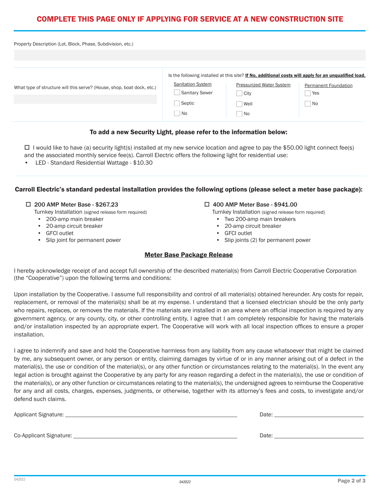## COMPLETE THIS PAGE ONLY IF APPLYING FOR SERVICE AT A NEW CONSTRUCTION SITE

| Property Description (Lot, Block, Phase, Subdivision, etc.)            |                                                                   |                                                                                                                                                                      |                                           |
|------------------------------------------------------------------------|-------------------------------------------------------------------|----------------------------------------------------------------------------------------------------------------------------------------------------------------------|-------------------------------------------|
| What type of structure will this serve? (House, shop, boat dock, etc.) | <b>Sanitation System</b><br><b>Sanitary Sewer</b><br>Septic<br>No | Is the following installed at this site? If No, additional costs will apply for an unqualified load.<br><b>Pressurized Water System</b><br>City<br>Well<br><b>No</b> | <b>Permanent Foundation</b><br>Yes<br>No. |

#### To add a new Security Light, please refer to the information below:

 $\Box$  I would like to have (a) security light(s) installed at my new service location and agree to pay the \$50.00 light connect fee(s) and the associated monthly service fee(s). Carroll Electric offers the following light for residential use:

• LED - Standard Residential Wattage - \$10.30

## Carroll Electric's standard pedestal installation provides the following options (please select a meter base package):

## □ 200 AMP Meter Base - \$267.23

- Turnkey Installation (signed release form required)
- 200-amp main breaker
- 20-amp circuit breaker
- GFCI outlet
- Slip joint for permanent power

#### □ 400 AMP Meter Base - \$941.00

- Turnkey Installation (signed release form required)
- Two 200-amp main breakers
- 20-amp circuit breaker
- GFCI outlet
- Slip joints (2) for permanent power

## Meter Base Package Release

I hereby acknowledge receipt of and accept full ownership of the described material(s) from Carroll Electric Cooperative Corporation (the "Cooperative") upon the following terms and conditions:

Upon installation by the Cooperative. I assume full responsibility and control of all material(s) obtained hereunder. Any costs for repair, replacement, or removal of the material(s) shall be at my expense. I understand that a licensed electrician should be the only party who repairs, replaces, or removes the materials. If the materials are installed in an area where an official inspection is required by any government agency, or any county, city, or other controlling entity, I agree that I am completely responsible for having the materials and/or installation inspected by an appropriate expert. The Cooperative will work with all local inspection offices to ensure a proper installation.

I agree to indemnify and save and hold the Cooperative harmless from any liability from any cause whatsoever that might be claimed by me, any subsequent owner, or any person or entity, claiming damages by virtue of or in any manner arising out of a defect in the material(s), the use or condition of the material(s), or any other function or circumstances relating to the material(s). In the event any legal action is brought against the Cooperative by any party for any reason regarding a defect in the material(s), the use or condition of the material(s), or any other function or circumstances relating to the material(s), the undersigned agrees to reimburse the Cooperative for any and all costs, charges, expenses, judgments, or otherwise, together with its attorney's fees and costs, to investigate and/or defend such claims.

| Applicant Signature: _  | Date: |
|-------------------------|-------|
|                         |       |
| Co-Applicant Signature: | Date: |